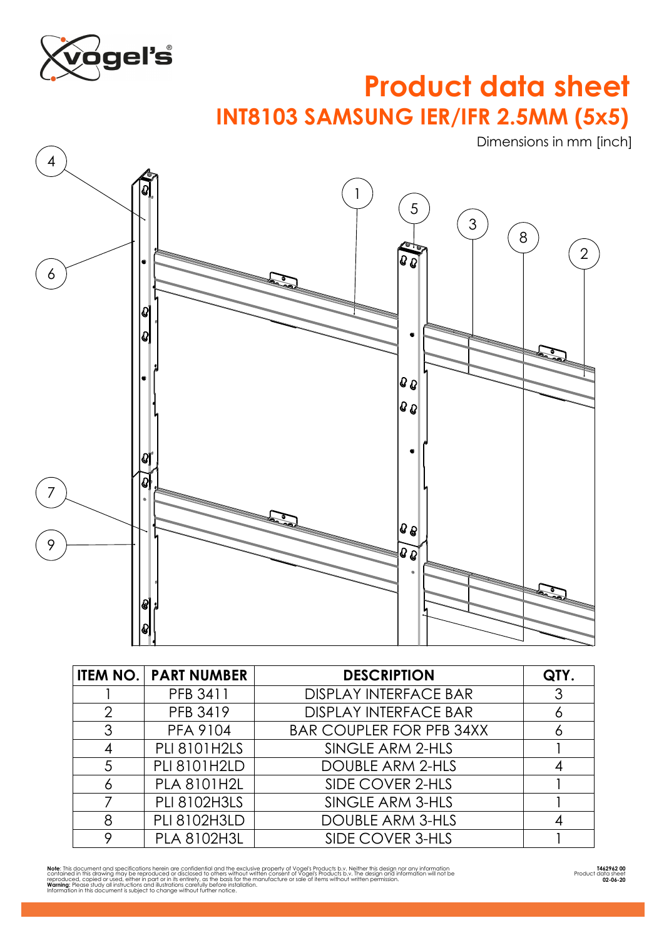

## **INT8103 SAMSUNG IER/IFR 2.5MM (5x5) Product data sheet**

Dimensions in mm [inch]



|                | <b>ITEM NO. PART NUMBER</b> | <b>DESCRIPTION</b>              | QTY. |
|----------------|-----------------------------|---------------------------------|------|
|                | PFB 3411                    | <b>DISPLAY INTERFACE BAR</b>    |      |
| $\mathcal{P}$  | PFB 3419                    | <b>DISPLAY INTERFACE BAR</b>    |      |
| 3              | <b>PFA 9104</b>             | <b>BAR COUPLER FOR PFB 34XX</b> |      |
|                | <b>PLI 8101H2LS</b>         | SINGLE ARM 2-HLS                |      |
| $\overline{5}$ | PLI 8101H2LD                | <b>DOUBLE ARM 2-HLS</b>         |      |
|                | <b>PLA 8101H2L</b>          | SIDE COVER 2-HLS                |      |
|                | <b>PLI 8102H3LS</b>         | SINGLE ARM 3-HLS                |      |
| 8              | <b>PLI 8102H3LD</b>         | <b>DOUBLE ARM 3-HLS</b>         |      |
|                | <b>PLA 8102H3L</b>          | SIDE COVER 3-HLS                |      |

**Not**e: This document and specifications herein or confidential and the exclusive property of Vogels Products b.v. Neither this design nor any information<br>contained in this drawing may be reproduced or disclosed to others